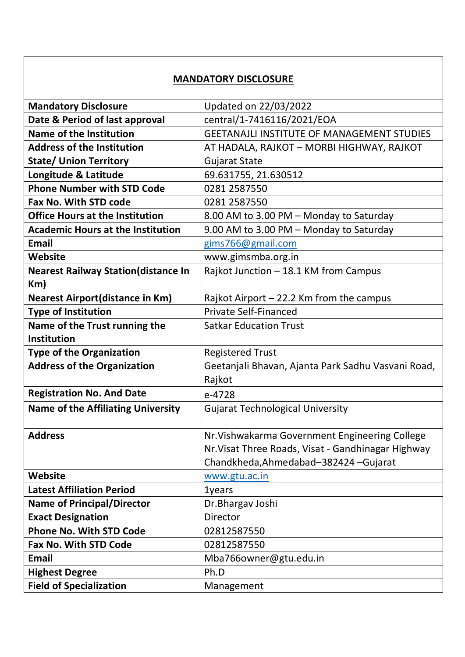## **MANDATORY DISCLOSURE**

| <b>Mandatory Disclosure</b>                 | Updated on 22/03/2022                              |
|---------------------------------------------|----------------------------------------------------|
| Date & Period of last approval              | central/1-7416116/2021/EOA                         |
| Name of the Institution                     | <b>GEETANAJLI INSTITUTE OF MANAGEMENT STUDIES</b>  |
| <b>Address of the Institution</b>           | AT HADALA, RAJKOT - MORBI HIGHWAY, RAJKOT          |
| <b>State/ Union Territory</b>               | <b>Gujarat State</b>                               |
| Longitude & Latitude                        | 69.631755, 21.630512                               |
| <b>Phone Number with STD Code</b>           | 0281 2587550                                       |
| Fax No. With STD code                       | 0281 2587550                                       |
| <b>Office Hours at the Institution</b>      | 8.00 AM to 3.00 PM - Monday to Saturday            |
| <b>Academic Hours at the Institution</b>    | 9.00 AM to 3.00 PM - Monday to Saturday            |
| <b>Email</b>                                | gims766@gmail.com                                  |
| Website                                     | www.gimsmba.org.in                                 |
| <b>Nearest Railway Station (distance In</b> | Rajkot Junction - 18.1 KM from Campus              |
| Km)                                         |                                                    |
| <b>Nearest Airport (distance in Km)</b>     | Rajkot Airport $-22.2$ Km from the campus          |
| <b>Type of Institution</b>                  | <b>Private Self-Financed</b>                       |
| Name of the Trust running the               | <b>Satkar Education Trust</b>                      |
| <b>Institution</b>                          |                                                    |
| <b>Type of the Organization</b>             | <b>Registered Trust</b>                            |
| <b>Address of the Organization</b>          | Geetanjali Bhavan, Ajanta Park Sadhu Vasvani Road, |
|                                             | Rajkot                                             |
| <b>Registration No. And Date</b>            | e-4728                                             |
| <b>Name of the Affiliating University</b>   | <b>Gujarat Technological University</b>            |
|                                             |                                                    |
| <b>Address</b>                              | Nr. Vishwakarma Government Engineering College     |
|                                             | Nr. Visat Three Roads, Visat - Gandhinagar Highway |
|                                             | Chandkheda, Ahmedabad-382424 - Gujarat             |
| <b>Website</b>                              | www.gtu.ac.in                                      |
| <b>Latest Affiliation Period</b>            | 1years                                             |
| <b>Name of Principal/Director</b>           | Dr. Bhargav Joshi                                  |
| <b>Exact Designation</b>                    | Director                                           |
| <b>Phone No. With STD Code</b>              | 02812587550                                        |
| <b>Fax No. With STD Code</b>                | 02812587550                                        |
| <b>Email</b>                                | Mba766owner@gtu.edu.in                             |
| <b>Highest Degree</b>                       | Ph.D                                               |
| <b>Field of Specialization</b>              | Management                                         |